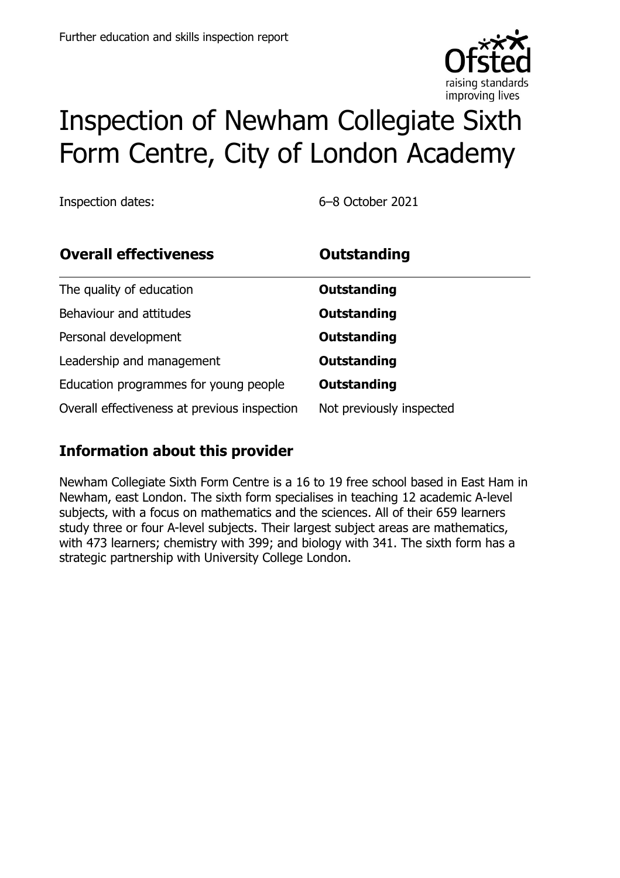

# Inspection of Newham Collegiate Sixth Form Centre, City of London Academy

Inspection dates: 6–8 October 2021

| <b>Overall effectiveness</b>                 | <b>Outstanding</b>       |
|----------------------------------------------|--------------------------|
| The quality of education                     | Outstanding              |
| Behaviour and attitudes                      | <b>Outstanding</b>       |
| Personal development                         | <b>Outstanding</b>       |
| Leadership and management                    | <b>Outstanding</b>       |
| Education programmes for young people        | <b>Outstanding</b>       |
| Overall effectiveness at previous inspection | Not previously inspected |

### **Information about this provider**

Newham Collegiate Sixth Form Centre is a 16 to 19 free school based in East Ham in Newham, east London. The sixth form specialises in teaching 12 academic A-level subjects, with a focus on mathematics and the sciences. All of their 659 learners study three or four A-level subjects. Their largest subject areas are mathematics, with 473 learners; chemistry with 399; and biology with 341. The sixth form has a strategic partnership with University College London.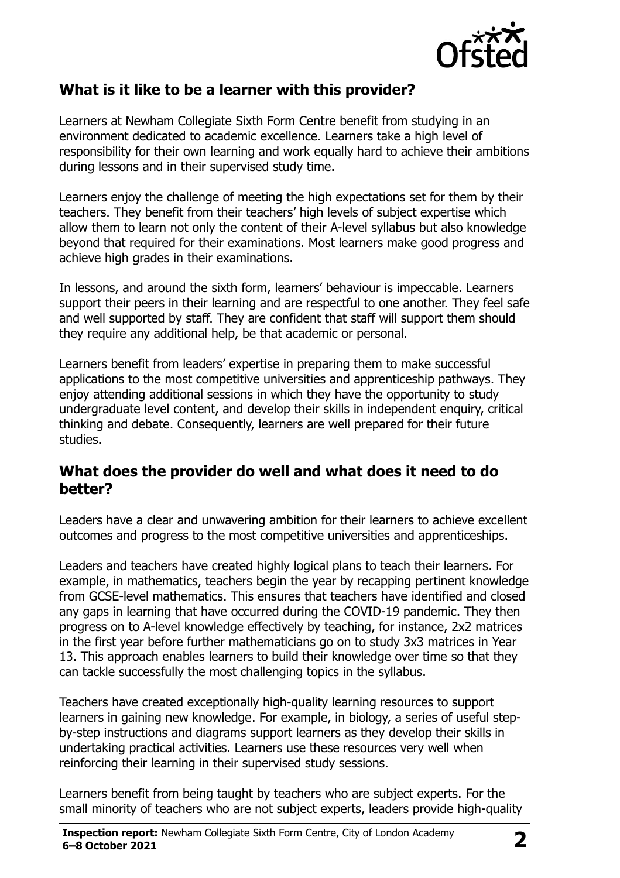

#### **What is it like to be a learner with this provider?**

Learners at Newham Collegiate Sixth Form Centre benefit from studying in an environment dedicated to academic excellence. Learners take a high level of responsibility for their own learning and work equally hard to achieve their ambitions during lessons and in their supervised study time.

Learners enjoy the challenge of meeting the high expectations set for them by their teachers. They benefit from their teachers' high levels of subject expertise which allow them to learn not only the content of their A-level syllabus but also knowledge beyond that required for their examinations. Most learners make good progress and achieve high grades in their examinations.

In lessons, and around the sixth form, learners' behaviour is impeccable. Learners support their peers in their learning and are respectful to one another. They feel safe and well supported by staff. They are confident that staff will support them should they require any additional help, be that academic or personal.

Learners benefit from leaders' expertise in preparing them to make successful applications to the most competitive universities and apprenticeship pathways. They enjoy attending additional sessions in which they have the opportunity to study undergraduate level content, and develop their skills in independent enquiry, critical thinking and debate. Consequently, learners are well prepared for their future studies.

#### **What does the provider do well and what does it need to do better?**

Leaders have a clear and unwavering ambition for their learners to achieve excellent outcomes and progress to the most competitive universities and apprenticeships.

Leaders and teachers have created highly logical plans to teach their learners. For example, in mathematics, teachers begin the year by recapping pertinent knowledge from GCSE-level mathematics. This ensures that teachers have identified and closed any gaps in learning that have occurred during the COVID-19 pandemic. They then progress on to A-level knowledge effectively by teaching, for instance, 2x2 matrices in the first year before further mathematicians go on to study 3x3 matrices in Year 13. This approach enables learners to build their knowledge over time so that they can tackle successfully the most challenging topics in the syllabus.

Teachers have created exceptionally high-quality learning resources to support learners in gaining new knowledge. For example, in biology, a series of useful stepby-step instructions and diagrams support learners as they develop their skills in undertaking practical activities. Learners use these resources very well when reinforcing their learning in their supervised study sessions.

Learners benefit from being taught by teachers who are subject experts. For the small minority of teachers who are not subject experts, leaders provide high-quality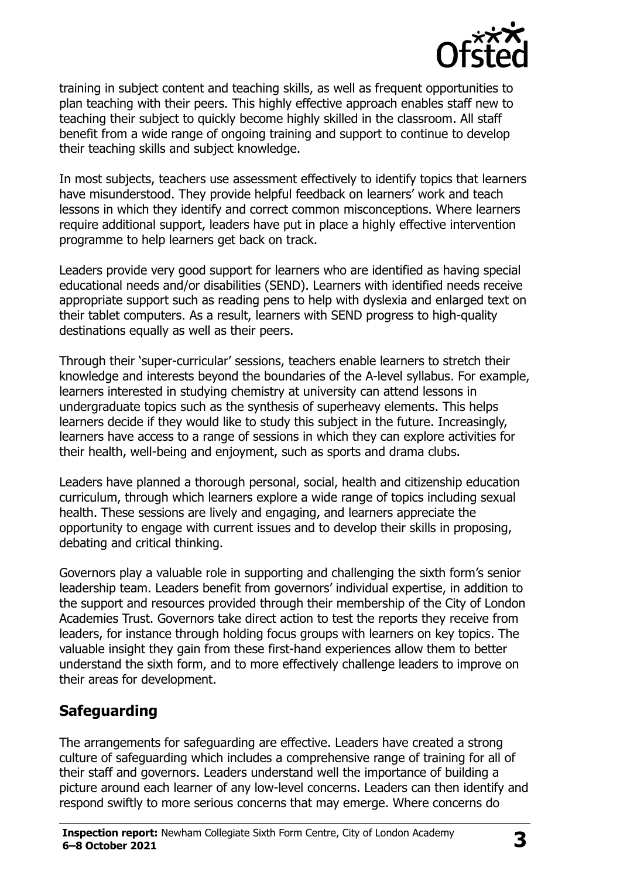

training in subject content and teaching skills, as well as frequent opportunities to plan teaching with their peers. This highly effective approach enables staff new to teaching their subject to quickly become highly skilled in the classroom. All staff benefit from a wide range of ongoing training and support to continue to develop their teaching skills and subject knowledge.

In most subjects, teachers use assessment effectively to identify topics that learners have misunderstood. They provide helpful feedback on learners' work and teach lessons in which they identify and correct common misconceptions. Where learners require additional support, leaders have put in place a highly effective intervention programme to help learners get back on track.

Leaders provide very good support for learners who are identified as having special educational needs and/or disabilities (SEND). Learners with identified needs receive appropriate support such as reading pens to help with dyslexia and enlarged text on their tablet computers. As a result, learners with SEND progress to high-quality destinations equally as well as their peers.

Through their 'super-curricular' sessions, teachers enable learners to stretch their knowledge and interests beyond the boundaries of the A-level syllabus. For example, learners interested in studying chemistry at university can attend lessons in undergraduate topics such as the synthesis of superheavy elements. This helps learners decide if they would like to study this subject in the future. Increasingly, learners have access to a range of sessions in which they can explore activities for their health, well-being and enjoyment, such as sports and drama clubs.

Leaders have planned a thorough personal, social, health and citizenship education curriculum, through which learners explore a wide range of topics including sexual health. These sessions are lively and engaging, and learners appreciate the opportunity to engage with current issues and to develop their skills in proposing, debating and critical thinking.

Governors play a valuable role in supporting and challenging the sixth form's senior leadership team. Leaders benefit from governors' individual expertise, in addition to the support and resources provided through their membership of the City of London Academies Trust. Governors take direct action to test the reports they receive from leaders, for instance through holding focus groups with learners on key topics. The valuable insight they gain from these first-hand experiences allow them to better understand the sixth form, and to more effectively challenge leaders to improve on their areas for development.

### **Safeguarding**

The arrangements for safeguarding are effective. Leaders have created a strong culture of safeguarding which includes a comprehensive range of training for all of their staff and governors. Leaders understand well the importance of building a picture around each learner of any low-level concerns. Leaders can then identify and respond swiftly to more serious concerns that may emerge. Where concerns do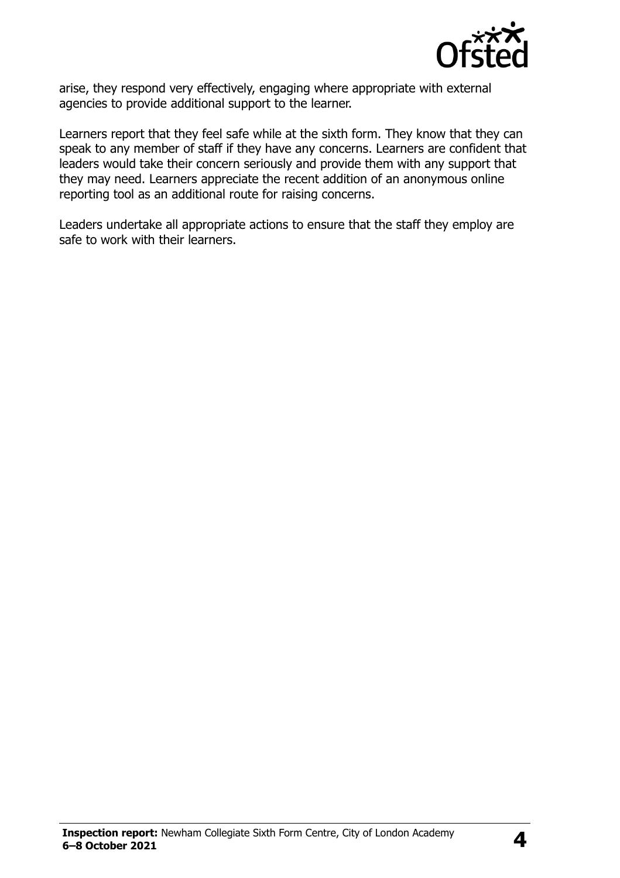

arise, they respond very effectively, engaging where appropriate with external agencies to provide additional support to the learner.

Learners report that they feel safe while at the sixth form. They know that they can speak to any member of staff if they have any concerns. Learners are confident that leaders would take their concern seriously and provide them with any support that they may need. Learners appreciate the recent addition of an anonymous online reporting tool as an additional route for raising concerns.

Leaders undertake all appropriate actions to ensure that the staff they employ are safe to work with their learners.

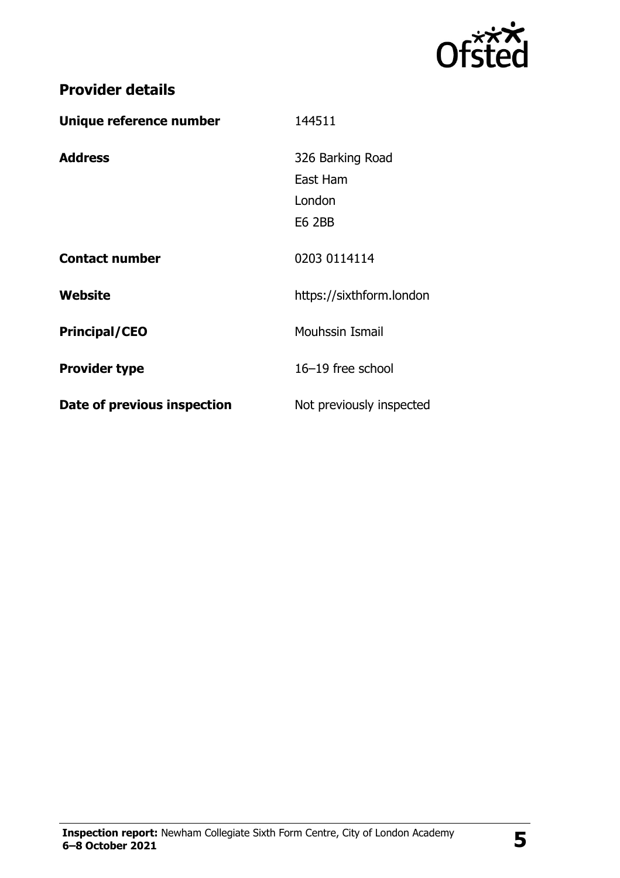

## **Provider details**

| Unique reference number     | 144511                   |
|-----------------------------|--------------------------|
| <b>Address</b>              | 326 Barking Road         |
|                             | East Ham                 |
|                             | London                   |
|                             | <b>E6 2BB</b>            |
| <b>Contact number</b>       | 0203 0114114             |
| Website                     | https://sixthform.london |
| <b>Principal/CEO</b>        | <b>Mouhssin Ismail</b>   |
| <b>Provider type</b>        | 16-19 free school        |
| Date of previous inspection | Not previously inspected |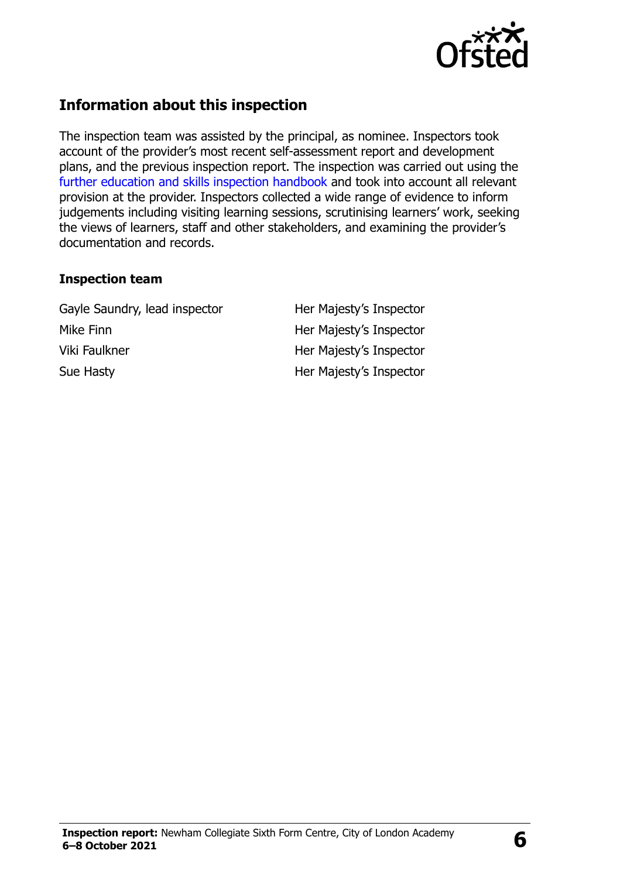

#### **Information about this inspection**

The inspection team was assisted by the principal, as nominee. Inspectors took account of the provider's most recent self-assessment report and development plans, and the previous inspection report. The inspection was carried out using the [further education and skills inspection handbook](http://www.gov.uk/government/publications/further-education-and-skills-inspection-handbook-eif) and took into account all relevant provision at the provider. Inspectors collected a wide range of evidence to inform judgements including visiting learning sessions, scrutinising learners' work, seeking the views of learners, staff and other stakeholders, and examining the provider's documentation and records.

#### **Inspection team**

Gayle Saundry, lead inspector Her Majesty's Inspector Mike Finn **Her Majesty's Inspector** Viki Faulkner **Her Majesty's Inspector** Sue Hasty **Her Majesty's Inspector**